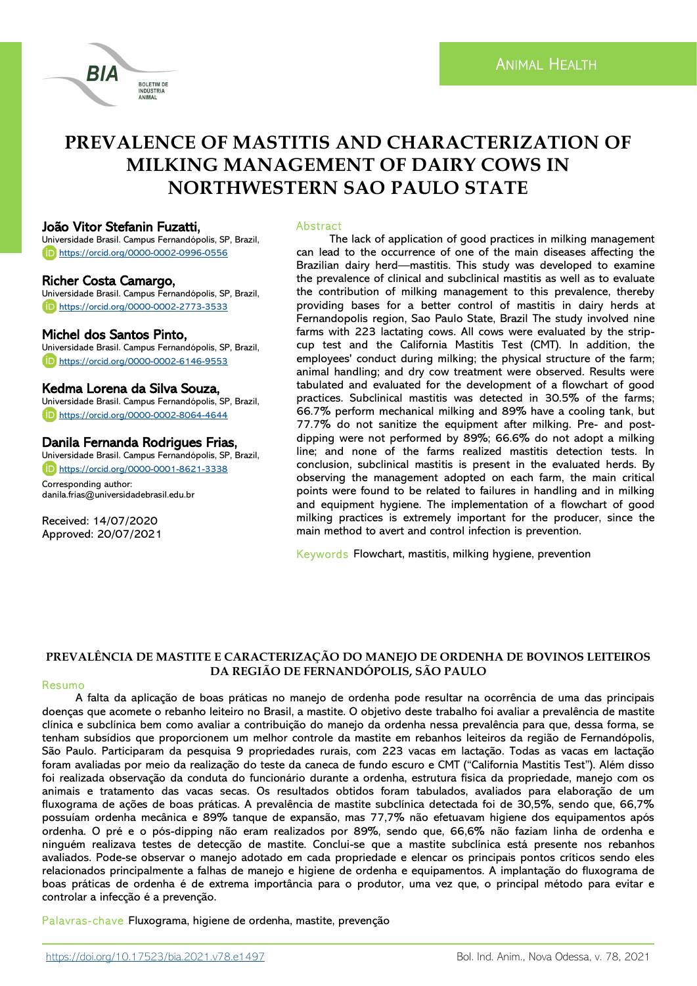# **PREVALENCE OF MASTITIS AND CHARACTERIZATION OF MILKING MANAGEMENT OF DAIRY COWS IN NORTHWESTERN SAO PAULO STATE**

## João Vitor Stefanin Fuzatti,

Universidade Brasil. Campus Fernandópolis, SP, Brazil, <https://orcid.org/0000-0002-0996-0556>

**BOLETIM DE IAMINA** 

## Richer Costa Camargo,

Universidade Brasil. Campus Fernandópolis, SP, Brazil, <https://orcid.org/0000-0002-2773-3533>

## Michel dos Santos Pinto,

Universidade Brasil. Campus Fernandópolis, SP, Brazil, <https://orcid.org/0000-0002-6146-9553>

## Kedma Lorena da Silva Souza,

Universidade Brasil. Campus Fernandópolis, SP, Brazil, <https://orcid.org/0000-0002-8064-4644>

# Danila Fernanda Rodrigues Frias,

Universidade Brasil. Campus Fernandópolis, SP, Brazil, <https://orcid.org/0000-0001-8621-3338>

Corresponding author: danila.frias@universidadebrasil.edu.br

Received: 14/07/2020 Approved: 20/07/2021

#### Abstract

The lack of application of good practices in milking management can lead to the occurrence of one of the main diseases affecting the Brazilian dairy herd—mastitis. This study was developed to examine the prevalence of clinical and subclinical mastitis as well as to evaluate the contribution of milking management to this prevalence, thereby providing bases for a better control of mastitis in dairy herds at Fernandopolis region, Sao Paulo State, Brazil The study involved nine farms with 223 lactating cows. All cows were evaluated by the stripcup test and the California Mastitis Test (CMT). In addition, the employees' conduct during milking; the physical structure of the farm; animal handling; and dry cow treatment were observed. Results were tabulated and evaluated for the development of a flowchart of good practices. Subclinical mastitis was detected in 30.5% of the farms; 66.7% perform mechanical milking and 89% have a cooling tank, but 77.7% do not sanitize the equipment after milking. Pre- and postdipping were not performed by 89%; 66.6% do not adopt a milking line; and none of the farms realized mastitis detection tests. In conclusion, subclinical mastitis is present in the evaluated herds. By observing the management adopted on each farm, the main critical points were found to be related to failures in handling and in milking and equipment hygiene. The implementation of a flowchart of good milking practices is extremely important for the producer, since the main method to avert and control infection is prevention.

Keywords Flowchart, mastitis, milking hygiene, prevention

## **PREVALÊNCIA DE MASTITE E CARACTERIZAÇÃO DO MANEJO DE ORDENHA DE BOVINOS LEITEIROS DA REGIÃO DE FERNANDÓPOLIS, SÃO PAULO**

#### Resumo

A falta da aplicação de boas práticas no manejo de ordenha pode resultar na ocorrência de uma das principais doenças que acomete o rebanho leiteiro no Brasil, a mastite. O objetivo deste trabalho foi avaliar a prevalência de mastite clínica e subclínica bem como avaliar a contribuição do manejo da ordenha nessa prevalência para que, dessa forma, se tenham subsídios que proporcionem um melhor controle da mastite em rebanhos leiteiros da região de Fernandópolis, São Paulo. Participaram da pesquisa 9 propriedades rurais, com 223 vacas em lactação. Todas as vacas em lactação foram avaliadas por meio da realização do teste da caneca de fundo escuro e CMT ("California Mastitis Test"). Além disso foi realizada observação da conduta do funcionário durante a ordenha, estrutura física da propriedade, manejo com os animais e tratamento das vacas secas. Os resultados obtidos foram tabulados, avaliados para elaboração de um fluxograma de ações de boas práticas. A prevalência de mastite subclínica detectada foi de 30,5%, sendo que, 66,7% possuíam ordenha mecânica e 89% tanque de expansão, mas 77,7% não efetuavam higiene dos equipamentos após ordenha. O pré e o pós-dipping não eram realizados por 89%, sendo que, 66,6% não faziam linha de ordenha e ninguém realizava testes de detecção de mastite. Conclui-se que a mastite subclínica está presente nos rebanhos avaliados. Pode-se observar o manejo adotado em cada propriedade e elencar os principais pontos críticos sendo eles relacionados principalmente a falhas de manejo e higiene de ordenha e equipamentos. A implantação do fluxograma de boas práticas de ordenha é de extrema importância para o produtor, uma vez que, o principal método para evitar e controlar a infecção é a prevenção.

Palavras- chave Fluxograma, higiene de ordenha, mastite, prevenção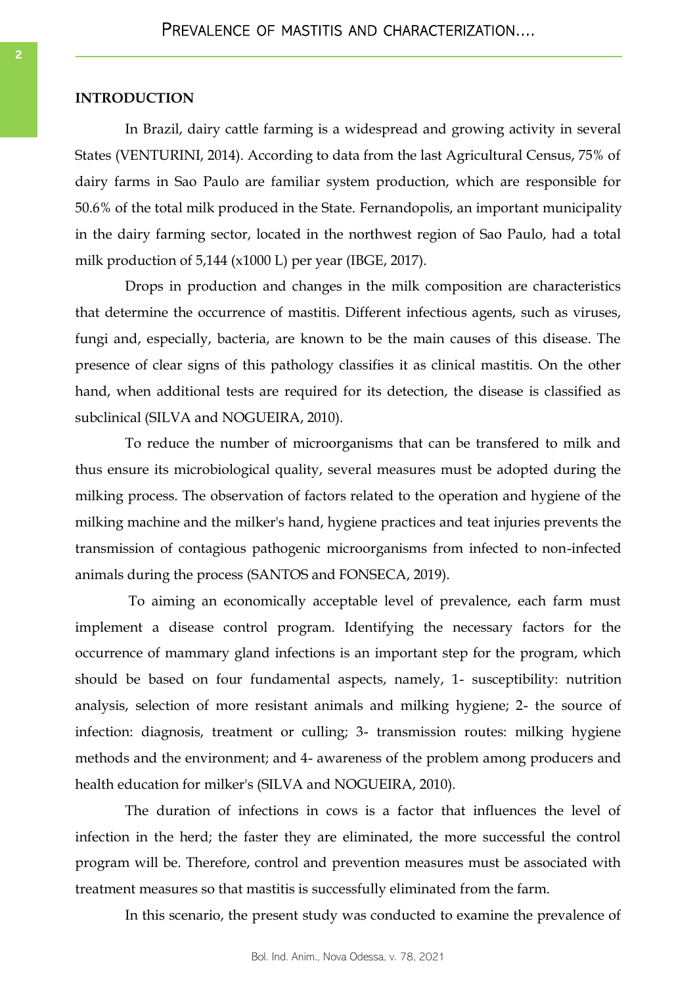# **INTRODUCTION**

In Brazil, dairy cattle farming is a widespread and growing activity in several States (VENTURINI, 2014). According to data from the last Agricultural Census, 75% of dairy farms in Sao Paulo are familiar system production, which are responsible for 50.6% of the total milk produced in the State. Fernandopolis, an important municipality in the dairy farming sector, located in the northwest region of Sao Paulo, had a total milk production of 5,144 (x1000 L) per year (IBGE, 2017).

Drops in production and changes in the milk composition are characteristics that determine the occurrence of mastitis. Different infectious agents, such as viruses, fungi and, especially, bacteria, are known to be the main causes of this disease. The presence of clear signs of this pathology classifies it as clinical mastitis. On the other hand, when additional tests are required for its detection, the disease is classified as subclinical (SILVA and NOGUEIRA, 2010).

To reduce the number of microorganisms that can be transfered to milk and thus ensure its microbiological quality, several measures must be adopted during the milking process. The observation of factors related to the operation and hygiene of the milking machine and the milker's hand, hygiene practices and teat injuries prevents the transmission of contagious pathogenic microorganisms from infected to non-infected animals during the process (SANTOS and FONSECA, 2019).

To aiming an economically acceptable level of prevalence, each farm must implement a disease control program. Identifying the necessary factors for the occurrence of mammary gland infections is an important step for the program, which should be based on four fundamental aspects, namely, 1- susceptibility: nutrition analysis, selection of more resistant animals and milking hygiene; 2- the source of infection: diagnosis, treatment or culling; 3- transmission routes: milking hygiene methods and the environment; and 4- awareness of the problem among producers and health education for milker's (SILVA and NOGUEIRA, 2010).

The duration of infections in cows is a factor that influences the level of infection in the herd; the faster they are eliminated, the more successful the control program will be. Therefore, control and prevention measures must be associated with treatment measures so that mastitis is successfully eliminated from the farm.

In this scenario, the present study was conducted to examine the prevalence of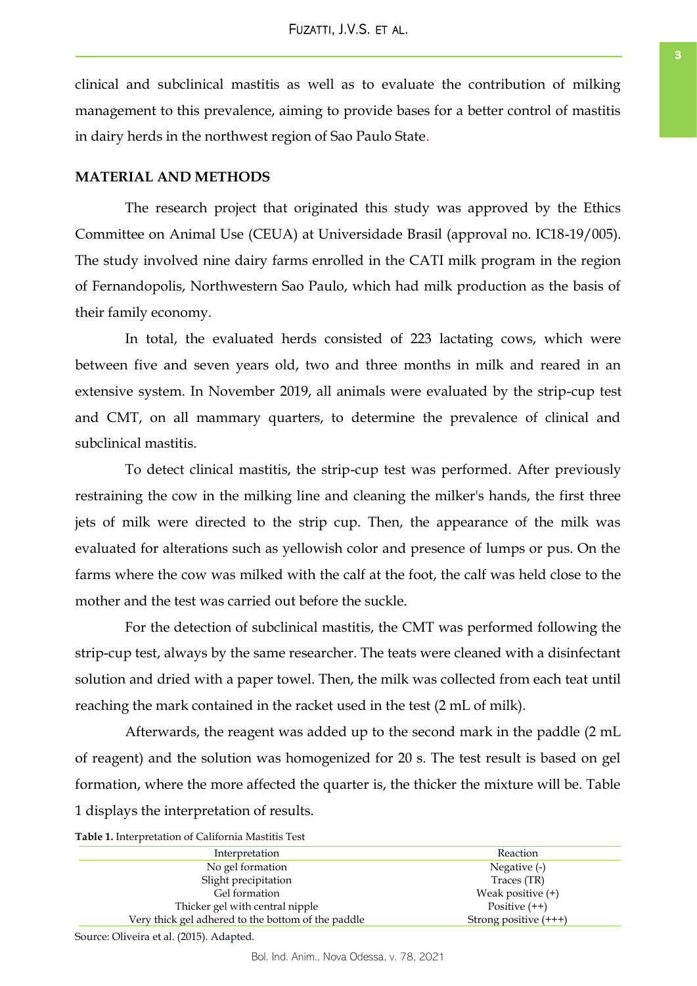clinical and subclinical mastitis as well as to evaluate the contribution of milking management to this prevalence, aiming to provide bases for a better control of mastitis in dairy herds in the northwest region of Sao Paulo State.

# **MATERIAL AND METHODS**

The research project that originated this study was approved by the Ethics Committee on Animal Use (CEUA) at Universidade Brasil (approval no. IC18-19/005). The study involved nine dairy farms enrolled in the CATI milk program in the region of Fernandopolis, Northwestern Sao Paulo, which had milk production as the basis of their family economy.

In total, the evaluated herds consisted of 223 lactating cows, which were between five and seven years old, two and three months in milk and reared in an extensive system. In November 2019, all animals were evaluated by the strip-cup test and CMT, on all mammary quarters, to determine the prevalence of clinical and subclinical mastitis.

To detect clinical mastitis, the strip-cup test was performed. After previously restraining the cow in the milking line and cleaning the milker's hands, the first three jets of milk were directed to the strip cup. Then, the appearance of the milk was evaluated for alterations such as yellowish color and presence of lumps or pus. On the farms where the cow was milked with the calf at the foot, the calf was held close to the mother and the test was carried out before the suckle.

For the detection of subclinical mastitis, the CMT was performed following the strip-cup test, always by the same researcher. The teats were cleaned with a disinfectant solution and dried with a paper towel. Then, the milk was collected from each teat until reaching the mark contained in the racket used in the test (2 mL of milk).

Afterwards, the reagent was added up to the second mark in the paddle (2 mL of reagent) and the solution was homogenized for 20 s. The test result is based on gel formation, where the more affected the quarter is, the thicker the mixture will be. Table 1 displays the interpretation of results.

**Table 1.** Interpretation of California Mastitis Test

| Interpretation                                     | Reaction                |
|----------------------------------------------------|-------------------------|
| No gel formation                                   | Negative (-)            |
| Slight precipitation                               | Traces (TR)             |
| Gel formation                                      | Weak positive (+)       |
| Thicker gel with central nipple                    | Positive $(++)$         |
| Very thick gel adhered to the bottom of the paddle | Strong positive $(+++)$ |

Source: Oliveira et al. (2015). Adapted.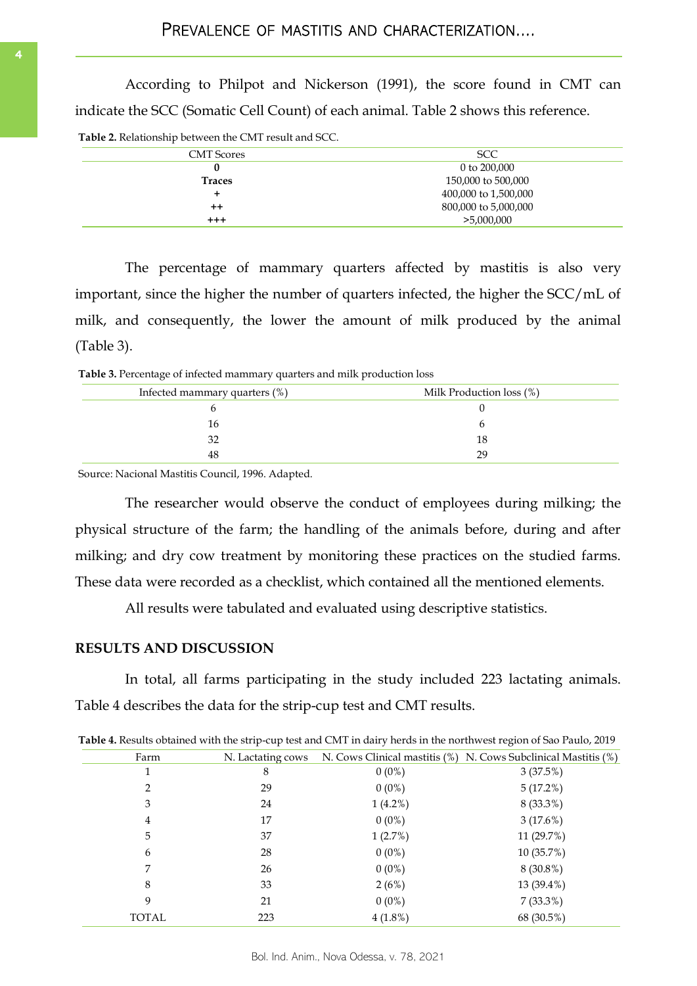<span id="page-3-0"></span>According to Philpot and Nickerson (1991), the score found in CMT can indicate the SCC (Somatic Cell Count) of each animal. Table 2 shows this reference.

**Table 2.** Relationship between the CMT result and SCC.

| <b>CMT</b> Scores | <b>SCC</b>           |  |  |  |  |
|-------------------|----------------------|--|--|--|--|
|                   | 0 to 200,000         |  |  |  |  |
| <b>Traces</b>     | 150,000 to 500,000   |  |  |  |  |
|                   | 400,000 to 1,500,000 |  |  |  |  |
| $^{\mathrm{+}}$   | 800,000 to 5,000,000 |  |  |  |  |
| $^{+++}$          | >5,000,000           |  |  |  |  |

The percentage of mammary quarters affected by mastitis is also very important, since the higher the number of quarters infected, the higher the SCC/mL of milk, and consequently, the lower the amount of milk produced by the animal (Table 3).

**Table 3.** Percentage of infected mammary quarters and milk production loss

| Infected mammary quarters (%) | Milk Production loss (%) |
|-------------------------------|--------------------------|
|                               |                          |
| 16                            |                          |
| 32                            |                          |
| 48                            | 29                       |

Source: Nacional Mastitis Council, 1996. Adapted.

The researcher would observe the conduct of employees during milking; the physical structure of the farm; the handling of the animals before, during and after milking; and dry cow treatment by monitoring these practices on the studied farms. These data were recorded as a checklist, which contained all the mentioned elements.

All results were tabulated and evaluated using descriptive statistics.

# **RESULTS AND DISCUSSION**

In total, all farms participating in the study included 223 lactating animals. Table 4 describes the data for the strip-cup test and CMT results.

|              |                   |            | Table 4. Results obtained with the strip-cup test and CMT in dairy herds in the northwest region of Sao Paulo, 2019 |
|--------------|-------------------|------------|---------------------------------------------------------------------------------------------------------------------|
| Farm         | N. Lactating cows |            | N. Cows Clinical mastitis (%) N. Cows Subclinical Mastitis (%)                                                      |
|              | 8                 | $0(0\%)$   | 3(37.5%)                                                                                                            |
|              | 29                | $0(0\%)$   | 5(17.2%)                                                                                                            |
| 3            | 24                | $1(4.2\%)$ | 8 (33.3%)                                                                                                           |
| 4            | 17                | $0(0\%)$   | 3(17.6%)                                                                                                            |
| 5            | 37                | 1(2.7%)    | 11 (29.7%)                                                                                                          |
| 6            | 28                | $0(0\%)$   | 10 (35.7%)                                                                                                          |
|              | 26                | $0(0\%)$   | 8 (30.8%)                                                                                                           |
| 8            | 33                | 2(6%)      | 13 (39.4%)                                                                                                          |
| 9            | 21                | $0(0\%)$   | $7(33.3\%)$                                                                                                         |
| <b>TOTAL</b> | 223               | $4(1.8\%)$ | 68 (30.5%)                                                                                                          |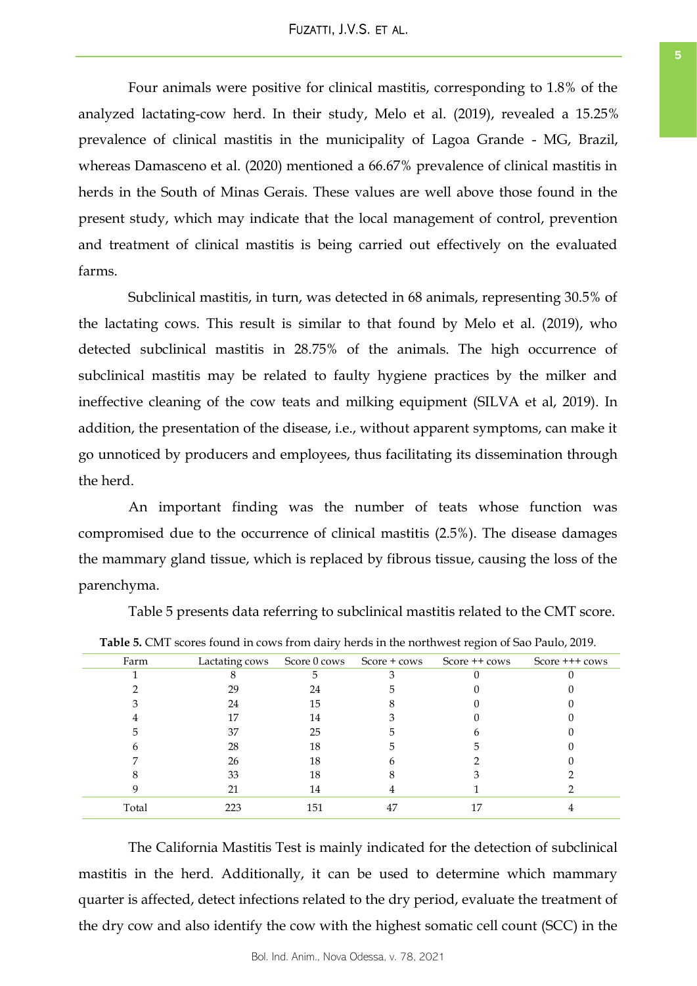<span id="page-4-0"></span>Four animals were positive for clinical mastitis, corresponding to 1.8% of the analyzed lactating-cow herd. In their study, Melo et al. (2019), revealed a 15.25% prevalence of clinical mastitis in the municipality of Lagoa Grande - MG, Brazil, whereas Damasceno et al. (2020) mentioned a 66.67% prevalence of clinical mastitis in herds in the South of Minas Gerais. These values are well above those found in the present study, which may indicate that the local management of control, prevention and treatment of clinical mastitis is being carried out effectively on the evaluated farms.

Subclinical mastitis, in turn, was detected in 68 animals, representing 30.5% of the lactating cows. This result is similar to that found by Melo et al. (2019), who detected subclinical mastitis in 28.75% of the animals. The high occurrence of subclinical mastitis may be related to faulty hygiene practices by the milker and ineffective cleaning of the cow teats and milking equipment (SILVA et al, 2019). In addition, the presentation of the disease, i.e., without apparent symptoms, can make it go unnoticed by producers and employees, thus facilitating its dissemination through the herd.

An important finding was the number of teats whose function was compromised due to the occurrence of clinical mastitis (2.5%). The disease damages the mammary gland tissue, which is replaced by fibrous tissue, causing the loss of the parenchyma.

Table 5 presents data referring to subclinical mastitis related to the CMT score.

| Farm  | Lactating cows |     | Score 0 cows Score + cows | Score ++ cows | Score $++$ cows |
|-------|----------------|-----|---------------------------|---------------|-----------------|
|       |                |     |                           |               |                 |
|       | 29             | 24  |                           |               |                 |
|       | 24             | 15  |                           |               |                 |
|       | 17             | 14  |                           |               |                 |
|       | 37             | 25  |                           |               |                 |
|       | 28             | 18  |                           |               |                 |
|       | 26             | 18  |                           |               |                 |
|       | 33             | 18  |                           |               |                 |
|       | 21             | 14  |                           |               |                 |
| Total | 223            | 151 | 47                        |               |                 |

**Table 5.** CMT scores found in cows from dairy herds in the northwest region of Sao Paulo, 2019.

The California Mastitis Test is mainly indicated for the detection of subclinical mastitis in the herd. Additionally, it can be used to determine which mammary quarter is affected, detect infections related to the dry period, evaluate the treatment of the dry cow and also identify the cow with the highest somatic cell count (SCC) in the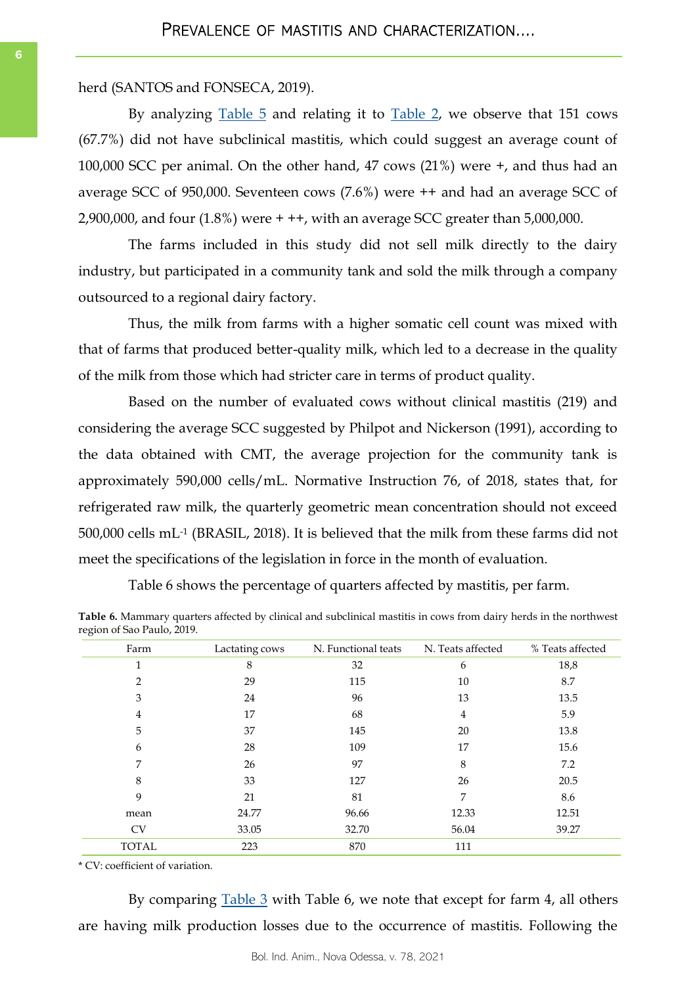herd (SANTOS and FONSECA, 2019).

By analyzing [Table 5](#page-4-0) and relating it to [Table 2,](#page-3-0) we observe that 151 cows (67.7%) did not have subclinical mastitis, which could suggest an average count of 100,000 SCC per animal. On the other hand, 47 cows (21%) were +, and thus had an average SCC of 950,000. Seventeen cows (7.6%) were ++ and had an average SCC of 2,900,000, and four (1.8%) were + ++, with an average SCC greater than 5,000,000.

The farms included in this study did not sell milk directly to the dairy industry, but participated in a community tank and sold the milk through a company outsourced to a regional dairy factory.

Thus, the milk from farms with a higher somatic cell count was mixed with that of farms that produced better-quality milk, which led to a decrease in the quality of the milk from those which had stricter care in terms of product quality.

Based on the number of evaluated cows without clinical mastitis (219) and considering the average SCC suggested by Philpot and Nickerson (1991), according to the data obtained with CMT, the average projection for the community tank is approximately 590,000 cells/mL. Normative Instruction 76, of 2018, states that, for refrigerated raw milk, the quarterly geometric mean concentration should not exceed 500,000 cells mL-1 (BRASIL, 2018). It is believed that the milk from these farms did not meet the specifications of the legislation in force in the month of evaluation.

Table 6 shows the percentage of quarters affected by mastitis, per farm.

**Table 6.** Mammary quarters affected by clinical and subclinical mastitis in cows from dairy herds in the northwest region of Sao Paulo, 2019.

| Farm         | Lactating cows | N. Functional teats | N. Teats affected | % Teats affected |
|--------------|----------------|---------------------|-------------------|------------------|
| 1            | 8              | 32                  | 6                 | 18,8             |
| 2            | 29             | 115                 | 10                | 8.7              |
| 3            | 24             | 96                  | 13                | 13.5             |
| 4            | 17             | 68                  | 4                 | 5.9              |
| 5            | 37             | 145                 | 20                | 13.8             |
| 6            | 28             | 109                 | 17                | 15.6             |
| 7            | 26             | 97                  | 8                 | 7.2              |
| 8            | 33             | 127                 | 26                | 20.5             |
| 9            | 21             | 81                  | 7                 | 8.6              |
| mean         | 24.77          | 96.66               | 12.33             | 12.51            |
| <b>CV</b>    | 33.05          | 32.70               | 56.04             | 39.27            |
| <b>TOTAL</b> | 223            | 870                 | 111               |                  |

\* CV: coefficient of variation.

By comparing <u>[Table 3](#page-3-0)</u> with Table 6, we note that except for farm 4, all others are having milk production losses due to the occurrence of mastitis. Following the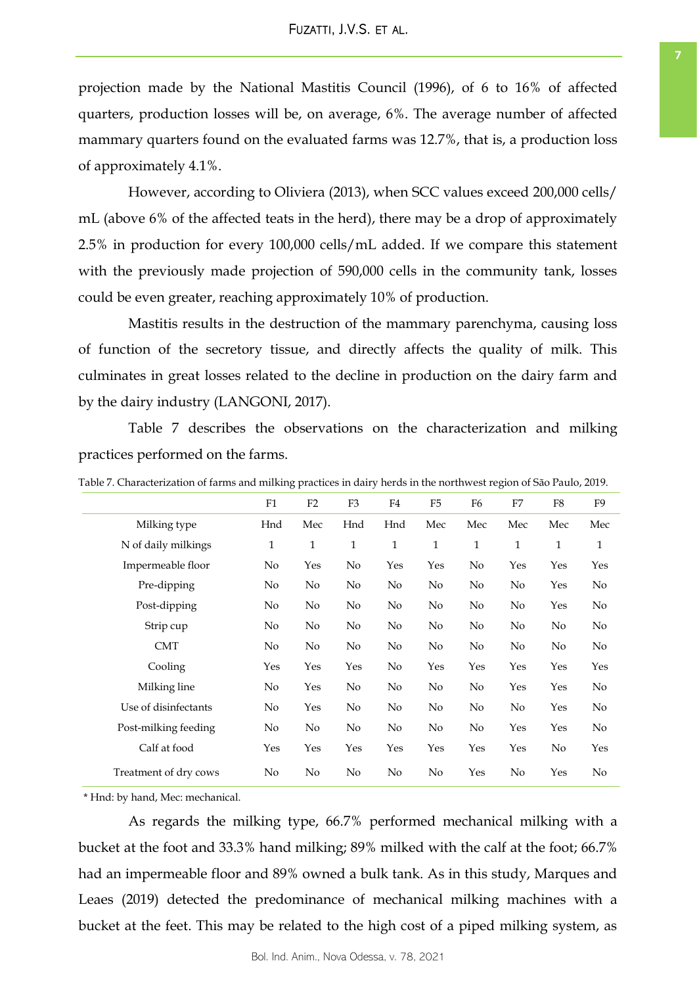projection made by the National Mastitis Council (1996), of 6 to 16% of affected quarters, production losses will be, on average, 6%. The average number of affected mammary quarters found on the evaluated farms was 12.7%, that is, a production loss of approximately 4.1%.

However, according to Oliviera (2013), when SCC values exceed 200,000 cells/ mL (above 6% of the affected teats in the herd), there may be a drop of approximately 2.5% in production for every 100,000 cells/mL added. If we compare this statement with the previously made projection of 590,000 cells in the community tank, losses could be even greater, reaching approximately 10% of production.

Mastitis results in the destruction of the mammary parenchyma, causing loss of function of the secretory tissue, and directly affects the quality of milk. This culminates in great losses related to the decline in production on the dairy farm and by the dairy industry (LANGONI, 2017).

Table 7 describes the observations on the characterization and milking practices performed on the farms.

|                       | F1           | F2           | F <sub>3</sub> | F4           | F <sub>5</sub> | F <sub>6</sub> | F7             | F8           | F9             |
|-----------------------|--------------|--------------|----------------|--------------|----------------|----------------|----------------|--------------|----------------|
| Milking type          | Hnd          | Mec          | Hnd            | Hnd          | Mec            | Mec            | Mec            | Mec          | Mec            |
| N of daily milkings   | $\mathbf{1}$ | $\mathbf{1}$ | $\mathbf{1}$   | $\mathbf{1}$ | $\mathbf{1}$   | $\mathbf{1}$   | $\mathbf{1}$   | $\mathbf{1}$ | $\mathbf{1}$   |
| Impermeable floor     | No           | Yes          | No             | Yes          | Yes            | No             | Yes            | Yes          | Yes            |
| Pre-dipping           | No           | No           | No             | No           | N <sub>o</sub> | No             | N <sub>o</sub> | Yes          | N <sub>o</sub> |
| Post-dipping          | No           | No           | No             | No           | No             | No             | No             | Yes          | No             |
| Strip cup             | No           | No           | No             | No           | N <sub>o</sub> | $\rm No$       | $\rm No$       | No           | N <sub>o</sub> |
| <b>CMT</b>            | No           | No           | No             | No           | N <sub>0</sub> | No             | No             | No           | N <sub>o</sub> |
| Cooling               | Yes          | Yes          | Yes            | No           | Yes            | Yes            | Yes            | Yes          | Yes            |
| Milking line          | No           | Yes          | No             | No           | No             | $\rm No$       | Yes            | Yes          | N <sub>o</sub> |
| Use of disinfectants  | No           | Yes          | No             | No           | N <sub>o</sub> | No             | $\rm No$       | Yes          | N <sub>o</sub> |
| Post-milking feeding  | No           | No           | No             | No           | N <sub>o</sub> | No             | Yes            | Yes          | N <sub>o</sub> |
| Calf at food          | Yes          | Yes          | Yes            | Yes          | Yes            | Yes            | Yes            | No           | Yes            |
| Treatment of dry cows | No           | No           | No             | No           | No             | Yes            | No             | Yes          | No             |

Table 7. Characterization of farms and milking practices in dairy herds in the northwest region of São Paulo, 2019.

\* Hnd: by hand, Mec: mechanical.

As regards the milking type, 66.7% performed mechanical milking with a bucket at the foot and 33.3% hand milking; 89% milked with the calf at the foot; 66.7% had an impermeable floor and 89% owned a bulk tank. As in this study, Marques and Leaes (2019) detected the predominance of mechanical milking machines with a bucket at the feet. This may be related to the high cost of a piped milking system, as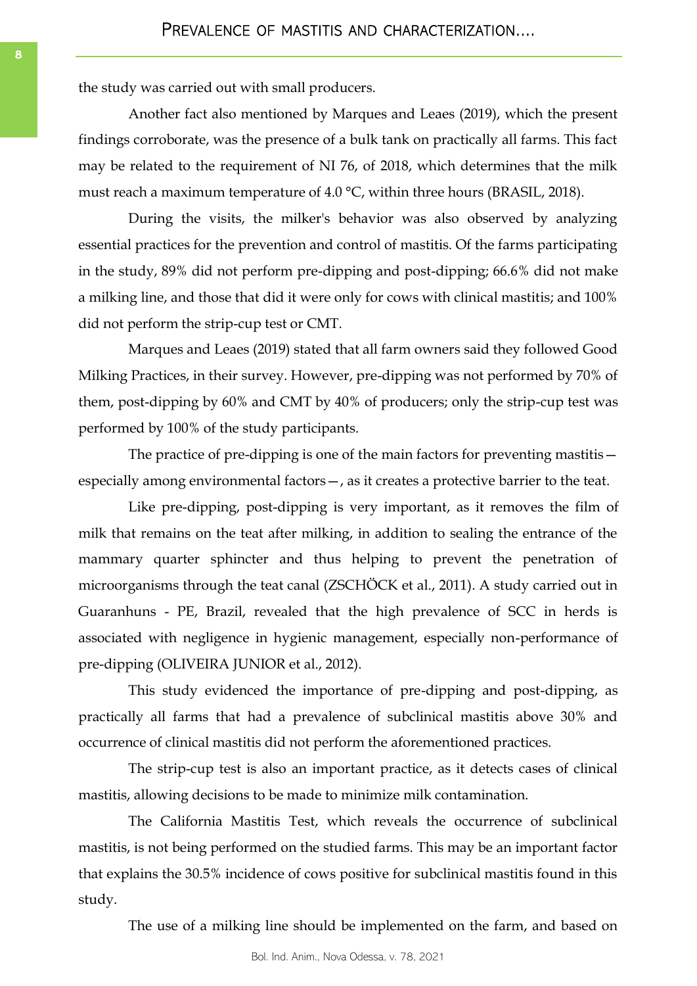the study was carried out with small producers.

Another fact also mentioned by Marques and Leaes (2019), which the present findings corroborate, was the presence of a bulk tank on practically all farms. This fact may be related to the requirement of NI 76, of 2018, which determines that the milk must reach a maximum temperature of 4.0 °C, within three hours (BRASIL, 2018).

During the visits, the milker's behavior was also observed by analyzing essential practices for the prevention and control of mastitis. Of the farms participating in the study, 89% did not perform pre-dipping and post-dipping; 66.6% did not make a milking line, and those that did it were only for cows with clinical mastitis; and 100% did not perform the strip-cup test or CMT.

Marques and Leaes (2019) stated that all farm owners said they followed Good Milking Practices, in their survey. However, pre-dipping was not performed by 70% of them, post-dipping by 60% and CMT by 40% of producers; only the strip-cup test was performed by 100% of the study participants.

The practice of pre-dipping is one of the main factors for preventing mastitis especially among environmental factors—, as it creates a protective barrier to the teat.

Like pre-dipping, post-dipping is very important, as it removes the film of milk that remains on the teat after milking, in addition to sealing the entrance of the mammary quarter sphincter and thus helping to prevent the penetration of microorganisms through the teat canal (ZSCHÖCK et al., 2011). A study carried out in Guaranhuns - PE, Brazil, revealed that the high prevalence of SCC in herds is associated with negligence in hygienic management, especially non-performance of pre-dipping (OLIVEIRA JUNIOR et al., 2012).

This study evidenced the importance of pre-dipping and post-dipping, as practically all farms that had a prevalence of subclinical mastitis above 30% and occurrence of clinical mastitis did not perform the aforementioned practices.

The strip-cup test is also an important practice, as it detects cases of clinical mastitis, allowing decisions to be made to minimize milk contamination.

The California Mastitis Test, which reveals the occurrence of subclinical mastitis, is not being performed on the studied farms. This may be an important factor that explains the 30.5% incidence of cows positive for subclinical mastitis found in this study.

The use of a milking line should be implemented on the farm, and based on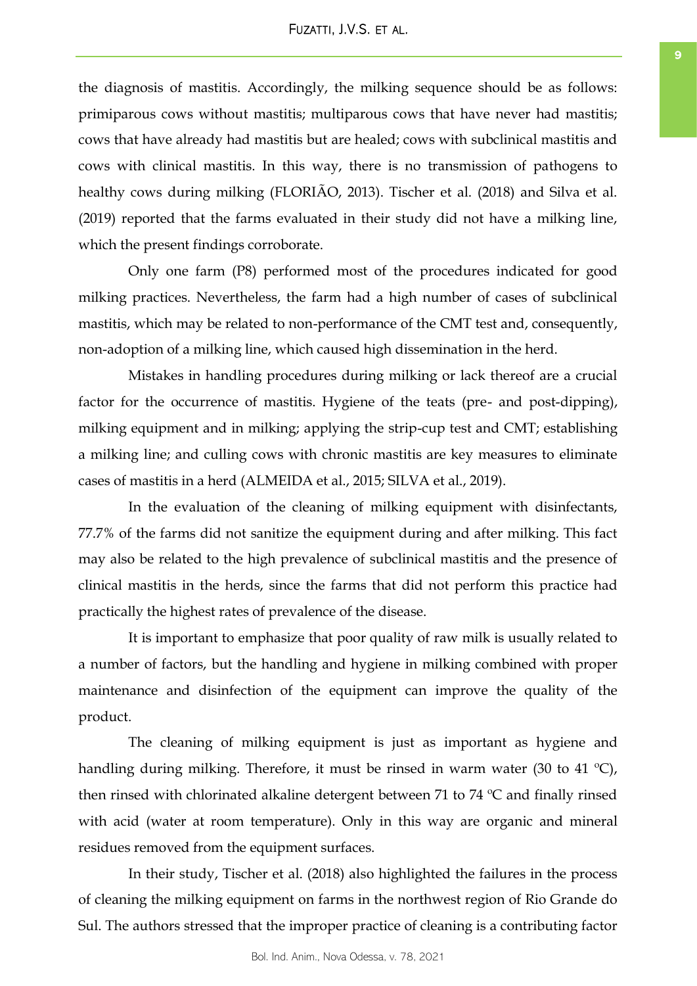# FUZATTI, J.V.S. ET AL.

the diagnosis of mastitis. Accordingly, the milking sequence should be as follows: primiparous cows without mastitis; multiparous cows that have never had mastitis; cows that have already had mastitis but are healed; cows with subclinical mastitis and cows with clinical mastitis. In this way, there is no transmission of pathogens to healthy cows during milking (FLORIÃO, 2013). Tischer et al. (2018) and Silva et al. (2019) reported that the farms evaluated in their study did not have a milking line, which the present findings corroborate.

Only one farm (P8) performed most of the procedures indicated for good milking practices. Nevertheless, the farm had a high number of cases of subclinical mastitis, which may be related to non-performance of the CMT test and, consequently, non-adoption of a milking line, which caused high dissemination in the herd.

Mistakes in handling procedures during milking or lack thereof are a crucial factor for the occurrence of mastitis. Hygiene of the teats (pre- and post-dipping), milking equipment and in milking; applying the strip-cup test and CMT; establishing a milking line; and culling cows with chronic mastitis are key measures to eliminate cases of mastitis in a herd (ALMEIDA et al., 2015; SILVA et al., 2019).

In the evaluation of the cleaning of milking equipment with disinfectants, 77.7% of the farms did not sanitize the equipment during and after milking. This fact may also be related to the high prevalence of subclinical mastitis and the presence of clinical mastitis in the herds, since the farms that did not perform this practice had practically the highest rates of prevalence of the disease.

It is important to emphasize that poor quality of raw milk is usually related to a number of factors, but the handling and hygiene in milking combined with proper maintenance and disinfection of the equipment can improve the quality of the product.

The cleaning of milking equipment is just as important as hygiene and handling during milking. Therefore, it must be rinsed in warm water (30 to 41 °C), then rinsed with chlorinated alkaline detergent between 71 to 74 ºC and finally rinsed with acid (water at room temperature). Only in this way are organic and mineral residues removed from the equipment surfaces.

In their study, Tischer et al. (2018) also highlighted the failures in the process of cleaning the milking equipment on farms in the northwest region of Rio Grande do Sul. The authors stressed that the improper practice of cleaning is a contributing factor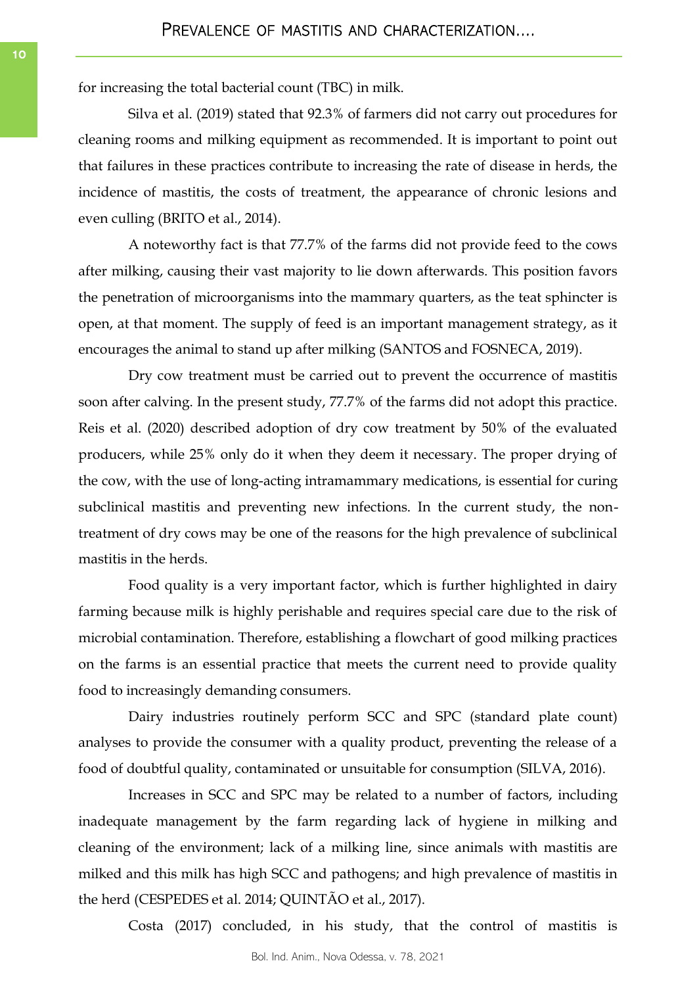for increasing the total bacterial count (TBC) in milk.

Silva et al. (2019) stated that 92.3% of farmers did not carry out procedures for cleaning rooms and milking equipment as recommended. It is important to point out that failures in these practices contribute to increasing the rate of disease in herds, the incidence of mastitis, the costs of treatment, the appearance of chronic lesions and even culling (BRITO et al., 2014).

A noteworthy fact is that 77.7% of the farms did not provide feed to the cows after milking, causing their vast majority to lie down afterwards. This position favors the penetration of microorganisms into the mammary quarters, as the teat sphincter is open, at that moment. The supply of feed is an important management strategy, as it encourages the animal to stand up after milking (SANTOS and FOSNECA, 2019).

Dry cow treatment must be carried out to prevent the occurrence of mastitis soon after calving. In the present study, 77.7% of the farms did not adopt this practice. Reis et al. (2020) described adoption of dry cow treatment by 50% of the evaluated producers, while 25% only do it when they deem it necessary. The proper drying of the cow, with the use of long-acting intramammary medications, is essential for curing subclinical mastitis and preventing new infections. In the current study, the nontreatment of dry cows may be one of the reasons for the high prevalence of subclinical mastitis in the herds.

Food quality is a very important factor, which is further highlighted in dairy farming because milk is highly perishable and requires special care due to the risk of microbial contamination. Therefore, establishing a flowchart of good milking practices on the farms is an essential practice that meets the current need to provide quality food to increasingly demanding consumers.

Dairy industries routinely perform SCC and SPC (standard plate count) analyses to provide the consumer with a quality product, preventing the release of a food of doubtful quality, contaminated or unsuitable for consumption (SILVA, 2016).

Increases in SCC and SPC may be related to a number of factors, including inadequate management by the farm regarding lack of hygiene in milking and cleaning of the environment; lack of a milking line, since animals with mastitis are milked and this milk has high SCC and pathogens; and high prevalence of mastitis in the herd (CESPEDES et al. 2014; QUINTÃO et al., 2017).

Costa (2017) concluded, in his study, that the control of mastitis is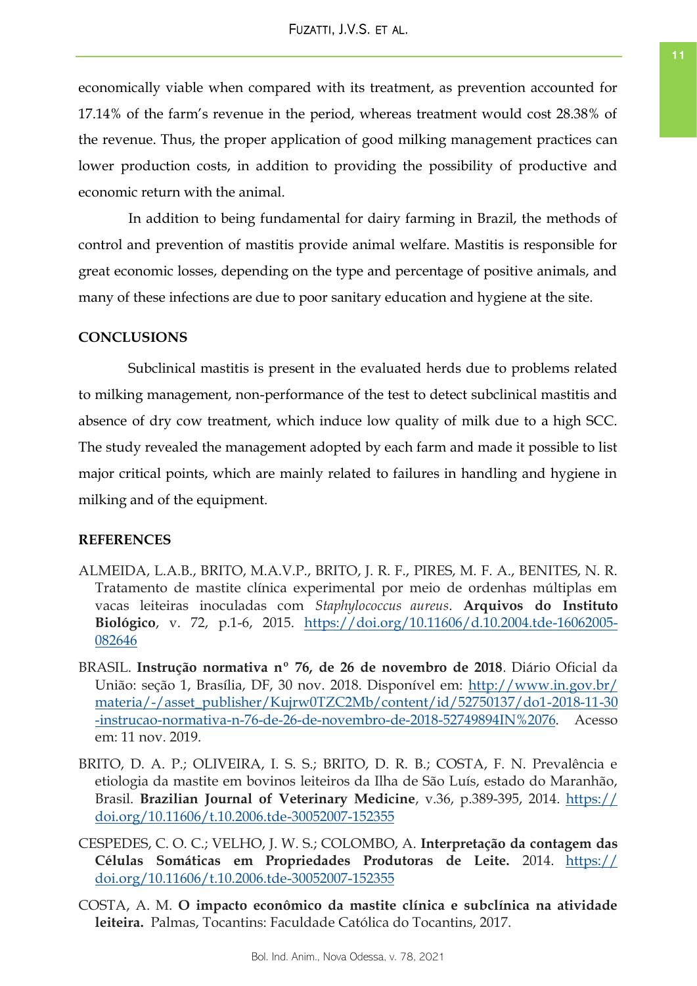economically viable when compared with its treatment, as prevention accounted for 17.14% of the farm's revenue in the period, whereas treatment would cost 28.38% of the revenue. Thus, the proper application of good milking management practices can lower production costs, in addition to providing the possibility of productive and economic return with the animal.

In addition to being fundamental for dairy farming in Brazil, the methods of control and prevention of mastitis provide animal welfare. Mastitis is responsible for great economic losses, depending on the type and percentage of positive animals, and many of these infections are due to poor sanitary education and hygiene at the site.

# **CONCLUSIONS**

Subclinical mastitis is present in the evaluated herds due to problems related to milking management, non-performance of the test to detect subclinical mastitis and absence of dry cow treatment, which induce low quality of milk due to a high SCC. The study revealed the management adopted by each farm and made it possible to list major critical points, which are mainly related to failures in handling and hygiene in milking and of the equipment.

# **REFERENCES**

- ALMEIDA, L.A.B., BRITO, M.A.V.P., BRITO, J. R. F., PIRES, M. F. A., BENITES, N. R. Tratamento de mastite clínica experimental por meio de ordenhas múltiplas em vacas leiteiras inoculadas com *Staphylococcus aureus*. **Arquivos do Instituto Biológico**, v. 72, p.1-6, 2015. [https://doi.org/10.11606/d.10.2004.tde-16062005-](https://doi.org/10.11606/d.10.2004.tde-16062005-082646) [082646](https://doi.org/10.11606/d.10.2004.tde-16062005-082646)
- BRASIL. **Instrução normativa nº 76, de 26 de novembro de 2018**. Diário Oficial da União: seção 1, Brasília, DF, 30 nov. 2018. Disponível em: [http://www.in.gov.br/](http://www.in.gov.br/materia/-/asset_publisher/Kujrw0TZC2Mb/content/id/52750137/do1-2018-11-30-instrucao-normativa-n-76-de-26-de-novembro-de-2018-52749894IN%2076) [materia/-/asset\\_publisher/Kujrw0TZC2Mb/content/id/52750137/do1-2018-11-30](http://www.in.gov.br/materia/-/asset_publisher/Kujrw0TZC2Mb/content/id/52750137/do1-2018-11-30-instrucao-normativa-n-76-de-26-de-novembro-de-2018-52749894IN%2076) [-instrucao-normativa-n-76-de-26-de-novembro-de-2018-52749894IN%2076.](http://www.in.gov.br/materia/-/asset_publisher/Kujrw0TZC2Mb/content/id/52750137/do1-2018-11-30-instrucao-normativa-n-76-de-26-de-novembro-de-2018-52749894IN%2076) Acesso em: 11 nov. 2019.
- BRITO, D. A. P.; OLIVEIRA, I. S. S.; BRITO, D. R. B.; COSTA, F. N. Prevalência e etiologia da mastite em bovinos leiteiros da Ilha de São Luís, estado do Maranhão, Brasil. **Brazilian Journal of Veterinary Medicine**, v.36, p.389-395, 2014. [https://](https://doi.org/10.11606/t.10.2006.tde-30052007-152355) [doi.org/10.11606/t.10.2006.tde-30052007-152355](https://doi.org/10.11606/t.10.2006.tde-30052007-152355)
- CESPEDES, C. O. C.; VELHO, J. W. S.; COLOMBO, A. **Interpretação da contagem das Células Somáticas em Propriedades Produtoras de Leite.** 2014. [https://](https://doi.org/10.11606/t.10.2006.tde-30052007-152355) [doi.org/10.11606/t.10.2006.tde-30052007-152355](https://doi.org/10.11606/t.10.2006.tde-30052007-152355)
- COSTA, A. M. **O impacto econômico da mastite clínica e subclínica na atividade leiteira.**Palmas, Tocantins: Faculdade Católica do Tocantins, 2017.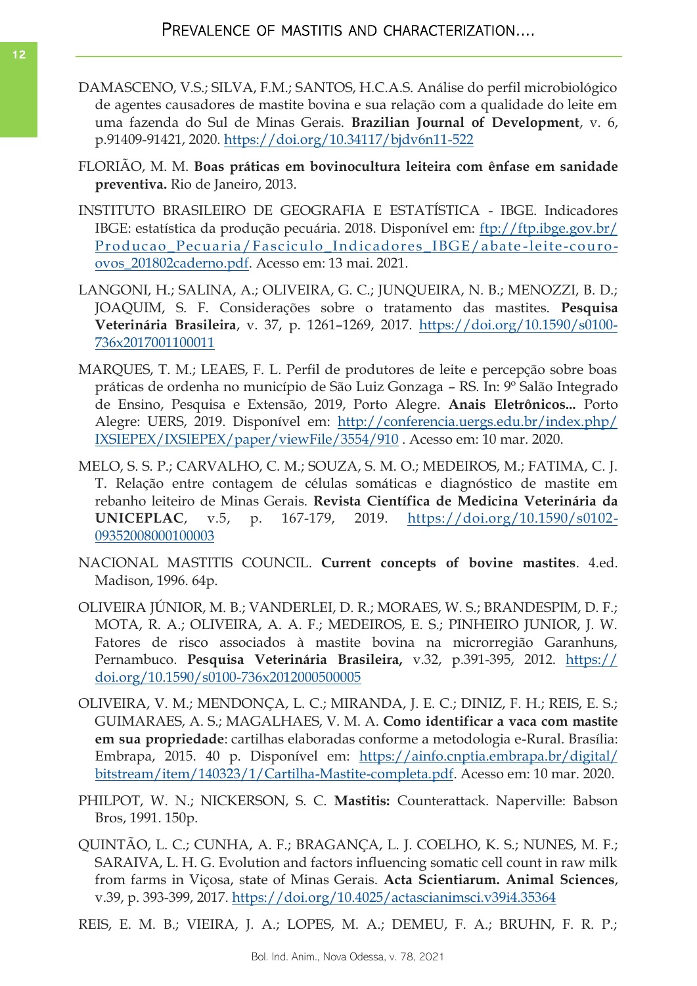- DAMASCENO, V.S.; SILVA, F.M.; SANTOS, H.C.A.S. Análise do perfil microbiológico de agentes causadores de mastite bovina e sua relação com a qualidade do leite em uma fazenda do Sul de Minas Gerais. **Brazilian Journal of Development**, v. 6, p.91409-91421, 2020. <https://doi.org/10.34117/bjdv6n11-522>
- FLORIÃO, M. M. **Boas práticas em bovinocultura leiteira com ênfase em sanidade preventiva.** Rio de Janeiro, 2013.
- INSTITUTO BRASILEIRO DE GEOGRAFIA E ESTATÍSTICA IBGE. Indicadores IBGE: estatística da produção pecuária. 2018. Disponível em: [ftp://ftp.ibge.gov.br/](ftp://ftp.ibge.gov.br/Producao_Pecuaria/Fasciculo_Indicadores_IBGE/abate-leite-couro-ovos_201802caderno.pdf) [Producao\\_Pecuaria/Fasciculo\\_Indicadores\\_IBGE/abate](ftp://ftp.ibge.gov.br/Producao_Pecuaria/Fasciculo_Indicadores_IBGE/abate-leite-couro-ovos_201802caderno.pdf) -leite -couro[ovos\\_201802caderno.pdf.](ftp://ftp.ibge.gov.br/Producao_Pecuaria/Fasciculo_Indicadores_IBGE/abate-leite-couro-ovos_201802caderno.pdf) Acesso em: 13 mai. 2021.
- LANGONI, H.; SALINA, A.; OLIVEIRA, G. C.; JUNQUEIRA, N. B.; MENOZZI, B. D.; JOAQUIM, S. F. Considerações sobre o tratamento das mastites. **Pesquisa Veterinária Brasileira**, v. 37, p. 1261–1269, 2017. [https://doi.org/10.1590/s0100-](https://doi.org/10.1590/s0100-736x2017001100011) [736x2017001100011](https://doi.org/10.1590/s0100-736x2017001100011)
- MARQUES, T. M.; LEAES, F. L. Perfil de produtores de leite e percepção sobre boas práticas de ordenha no município de São Luiz Gonzaga – RS. In: 9º Salão Integrado de Ensino, Pesquisa e Extensão, 2019, Porto Alegre. **Anais Eletrônicos...** Porto Alegre: UERS, 2019. Disponível em: [http://conferencia.uergs.edu.br/index.php/](http://conferencia.uergs.edu.br/index.php/IXSIEPEX/IXSIEPEX/paper/viewFile/3554/910) [IXSIEPEX/IXSIEPEX/paper/viewFile/3554/910](http://conferencia.uergs.edu.br/index.php/IXSIEPEX/IXSIEPEX/paper/viewFile/3554/910) . Acesso em: 10 mar. 2020.
- MELO, S. S. P.; CARVALHO, C. M.; SOUZA, S. M. O.; MEDEIROS, M.; FATIMA, C. J. T. Relação entre contagem de células somáticas e diagnóstico de mastite em rebanho leiteiro de Minas Gerais. **Revista Científica de Medicina Veterinária da UNICEPLAC**, v.5, p. 167-179, 2019. [https://doi.org/10.1590/s0102-](https://doi.org/10.1590/s0102-09352008000100003) [09352008000100003](https://doi.org/10.1590/s0102-09352008000100003)
- NACIONAL MASTITIS COUNCIL. **Current concepts of bovine mastites**. 4.ed. Madison, 1996. 64p.
- OLIVEIRA JÚNIOR, M. B.; VANDERLEI, D. R.; MORAES, W. S.; BRANDESPIM, D. F.; MOTA, R. A.; OLIVEIRA, A. A. F.; MEDEIROS, E. S.; PINHEIRO JUNIOR, J. W. Fatores de risco associados à mastite bovina na microrregião Garanhuns, Pernambuco. **Pesquisa Veterinária Brasileira,** v.32, p.391-395, 2012. [https://](https://doi.org/10.1590/s0100-736x2012000500005) [doi.org/10.1590/s0100-736x2012000500005](https://doi.org/10.1590/s0100-736x2012000500005)
- OLIVEIRA, V. M.; MENDONÇA, L. C.; MIRANDA, J. E. C.; DINIZ, F. H.; REIS, E. S.; GUIMARAES, A. S.; MAGALHAES, V. M. A. **Como identificar a vaca com mastite em sua propriedade**: cartilhas elaboradas conforme a metodologia e-Rural. Brasília: Embrapa, 2015. 40 p. Disponível em: [https://ainfo.cnptia.embrapa.br/digital/](https://www.google.com/url?q=https://ainfo.cnptia.embrapa.br/digital/bitstream/item/140323/1/Cartilha-Mastite-completa.pdf&sa=D&source=editors&ust=1629902504413000&usg=AFQjCNFyHMJAnZDGpxySEy1oNcHOgv1HrA) [bitstream/item/140323/1/Cartilha-Mastite-completa.pdf.](https://www.google.com/url?q=https://ainfo.cnptia.embrapa.br/digital/bitstream/item/140323/1/Cartilha-Mastite-completa.pdf&sa=D&source=editors&ust=1629902504413000&usg=AFQjCNFyHMJAnZDGpxySEy1oNcHOgv1HrA) Acesso em: 10 mar. 2020.
- PHILPOT, W. N.; NICKERSON, S. C. **Mastitis:** Counterattack. Naperville: Babson Bros, 1991. 150p.
- QUINTÃO, L. C.; CUNHA, A. F.; BRAGANÇA, L. J. COELHO, K. S.; NUNES, M. F.; SARAIVA, L. H. G. Evolution and factors influencing somatic cell count in raw milk from farms in Viçosa, state of Minas Gerais. **Acta Scientiarum. Animal Sciences**, v.39, p. 393-399, 2017.<https://doi.org/10.4025/actascianimsci.v39i4.35364>

REIS, E. M. B.; VIEIRA, J. A.; LOPES, M. A.; DEMEU, F. A.; BRUHN, F. R. P.;